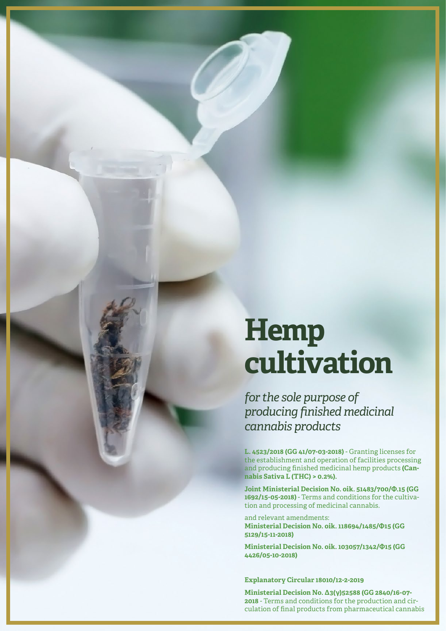# **Hemp cultivation**

*for the sole purpose of producing finished medicinal cannabis products*

**L. 4523/2018 (GG 41/07-03-2018)** - Granting licenses for the establishment and operation of facilities processing and producing finished medicinal hemp products **(Cannabis Sativa L (THC) > 0.2%).**

**Joint Ministerial Decision No. oik. 51483/700/Φ.15 (GG 1692/15-05-2018)** - Terms and conditions for the cultivation and processing of medicinal cannabis.

and relevant amendments: **Ministerial Decision No. oik. 118694/1485/Φ15 (GG 5129/15-11-2018)**

**Ministerial Decision No. oik. 103057/1342/Φ15 (GG 4426/05-10-2018)**

**Explanatory Circular 18010/12-2-2019**

**Ministerial Decision No. Δ3(γ)52588 (GG 2840/16-07- 2018** - Terms and conditions for the production and circulation of final products from pharmaceutical cannabis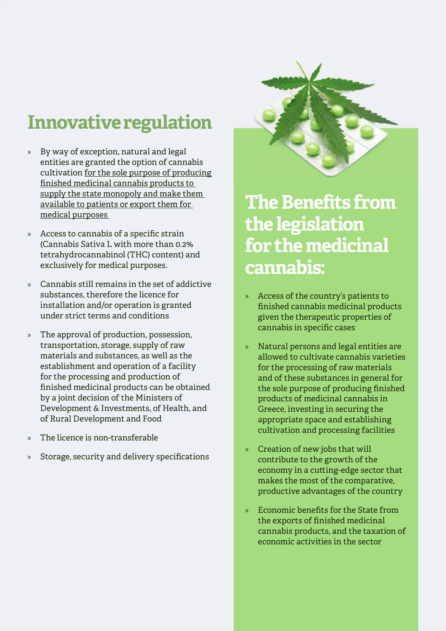# **Innovative regulation**

- » By way of exception, natural and legal entities are granted the option of cannabis cultivation for the sole purpose of producing finished medicinal cannabis products to supply the state monopoly and make them available to patients or export them for medical purposes
- » Access to cannabis of a specific strain (Cannabis Sativa L with more than 0.2% tetrahydrocannabinol (THC) content) and exclusively for medical purposes.
- » Cannabis still remains in the set of addictive substances, therefore the licence for installation and/or operation is granted under strict terms and conditions
- » The approval of production, possession, transportation, storage, supply of raw materials and substances, as well as the establishment and operation of a facility for the processing and production of finished medicinal products can be obtained by a joint decision of the Ministers of Development & Investments, of Health, and of Rural Development and Food
- » The licence is non-transferable
- Storage, security and delivery specifications



## **The Benefits from the legislation for the medicinal cannabis:**

- » Access of the country's patients to finished cannabis medicinal products given the therapeutic properties of cannabis in specific cases
- » Natural persons and legal entities are allowed to cultivate cannabis varieties for the processing of raw materials and of these substances in general for the sole purpose of producing finished products of medicinal cannabis in Greece, investing in securing the appropriate space and establishing cultivation and processing facilities
- » Creation of new jobs that will contribute to the growth of the economy in a cutting-edge sector that makes the most of the comparative, productive advantages of the country
- » Economic benefits for the State from the exports of finished medicinal cannabis products, and the taxation of economic activities in the sector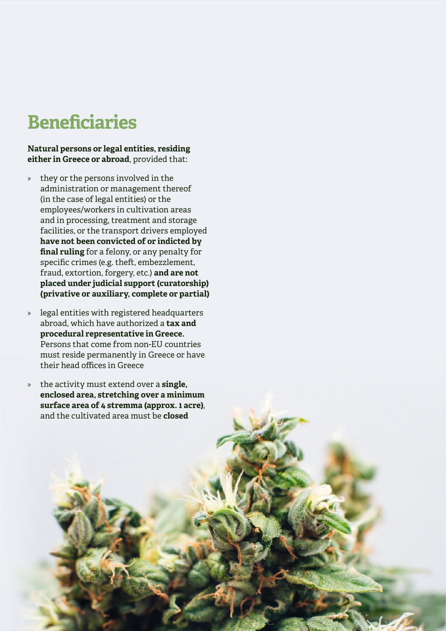## **Beneficiaries**

#### **Natural persons or legal entities, residing either in Greece or abroad**, provided that:

- » they or the persons involved in the administration or management thereof (in the case of legal entities) or the employees/workers in cultivation areas and in processing, treatment and storage facilities, or the transport drivers employed **have not been convicted of or indicted by final ruling** for a felony, or any penalty for specific crimes (e.g. theft, embezzlement, fraud, extortion, forgery, etc.) **and are not placed under judicial support (curatorship) (privative or auxiliary, complete or partial)**
- » legal entities with registered headquarters abroad, which have authorized a **tax and procedural representative in Greece.**  Persons that come from non-EU countries must reside permanently in Greece or have their head offices in Greece
- » the activity must extend over a **single, enclosed area, stretching over a minimum surface area of 4 stremma (approx. 1 acre)**, and the cultivated area must be **closed**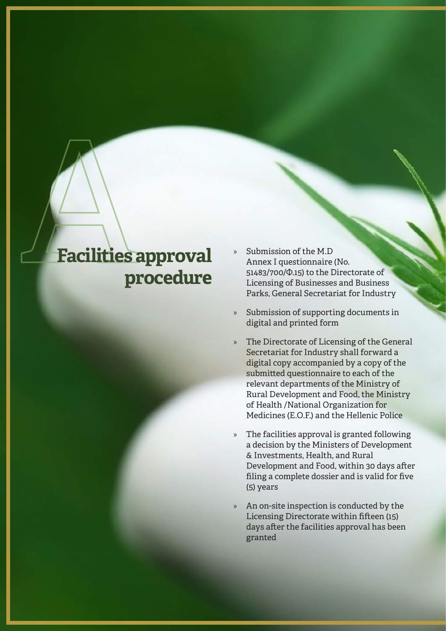#### **Facilities approval procedure**

- » Submission of the M.D Annex I questionnaire (No. 51483/700/Φ.15) to the Directorate of Licensing of Businesses and Business Parks, General Secretariat for Industry
- » Submission of supporting documents in digital and printed form
- » The Directorate of Licensing of the General Secretariat for Industry shall forward a digital copy accompanied by a copy of the submitted questionnaire to each of the relevant departments of the Ministry of Rural Development and Food, the Ministry of Health /National Organization for Medicines (E.O.F.) and the Hellenic Police
- » The facilities approval is granted following a decision by the Ministers of Development & Investments, Health, and Rural Development and Food, within 30 days after filing a complete dossier and is valid for five (5) years
- » An on-site inspection is conducted by the Licensing Directorate within fifteen (15) days after the facilities approval has been granted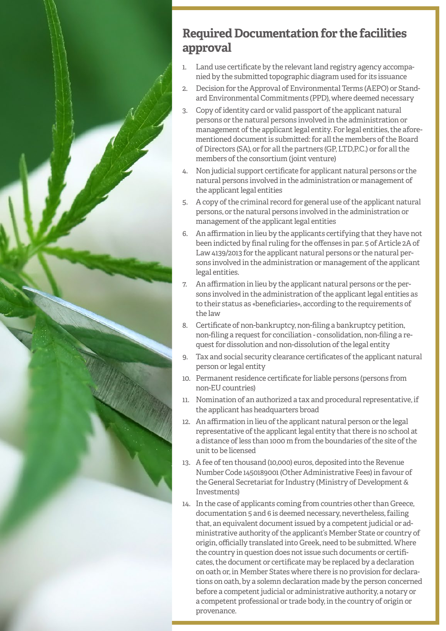

#### **Required Documentation for the facilities approval**

- 1. Land use certificate by the relevant land registry agency accompanied by the submitted topographic diagram used for its issuance
- 2. Decision for the Approval of Environmental Terms (AEPO) or Standard Environmental Commitments (PPD), where deemed necessary
- 3. Copy of identity card or valid passport of the applicant natural persons or the natural persons involved in the administration or management of the applicant legal entity. For legal entities, the aforementioned document is submitted: for all the members of the Board of Directors (SA), or for all the partners (GP, LTD,P.C.) or for all the members of the consortium (joint venture)
- 4. Non judicial support certificate for applicant natural persons or the natural persons involved in the administration or management of the applicant legal entities
- 5. A copy of the criminal record for general use of the applicant natural persons, or the natural persons involved in the administration or management of the applicant legal entities
- 6. An affirmation in lieu by the applicants certifying that they have not been indicted by final ruling for the offenses in par. 5 of Article 2A of Law 4139/2013 for the applicant natural persons or the natural persons involved in the administration or management of the applicant legal entities.
- 7. An affirmation in lieu by the applicant natural persons or the persons involved in the administration of the applicant legal entities as to their status as «beneficiaries», according to the requirements of the law
- 8. Certificate of non-bankruptcy, non-filing a bankruptcy petition, non-filing a request for conciliation - consolidation, non-filing a request for dissolution and non-dissolution of the legal entity
- 9. Tax and social security clearance certificates of the applicant natural person or legal entity
- 10. Permanent residence certificate for liable persons (persons from non-EU countries)
- 11. Nomination of an authorized a tax and procedural representative, if the applicant has headquarters broad
- 12. An affirmation in lieu of the applicant natural person or the legal representative of the applicant legal entity that there is no school at a distance of less than 1000 m from the boundaries of the site of the unit to be licensed
- 13. A fee of ten thousand (10,000) euros, deposited into the Revenue Number Code 1450189001 (Other Administrative Fees) in favour of the General Secretariat for Industry (Ministry of Development & Investments)
- 14. In the case of applicants coming from countries other than Greece, documentation 5 and 6 is deemed necessary, nevertheless, failing that, an equivalent document issued by a competent judicial or administrative authority of the applicant's Member State or country of origin, officially translated into Greek, need to be submitted. Where the country in question does not issue such documents or certificates, the document or certificate may be replaced by a declaration on oath or, in Member States where there is no provision for declarations on oath, by a solemn declaration made by the person concerned before a competent judicial or administrative authority, a notary or a competent professional or trade body, in the country of origin or provenance.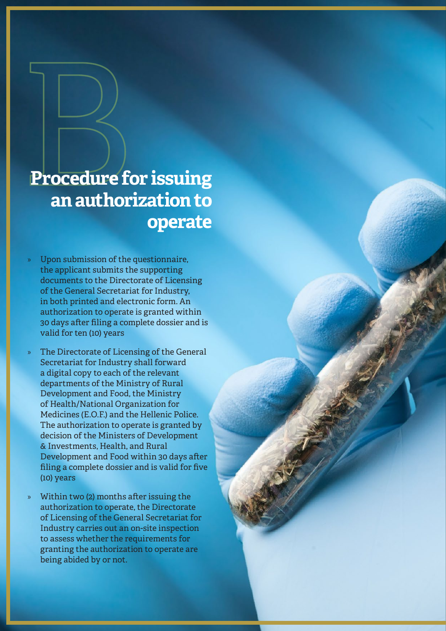## B**Procedure for issuing an authorization to operate**

- » Upon submission of the questionnaire, the applicant submits the supporting documents to the Directorate of Licensing of the General Secretariat for Industry, in both printed and electronic form. An authorization to operate is granted within 30 days after filing a complete dossier and is valid for ten (10) years
- The Directorate of Licensing of the General Secretariat for Industry shall forward a digital copy to each of the relevant departments of the Ministry of Rural Development and Food, the Ministry of Health/National Organization for Medicines (E.O.F.) and the Hellenic Police. The authorization to operate is granted by decision of the Ministers of Development & Investments, Health, and Rural Development and Food within 30 days after filing a complete dossier and is valid for five (10) years
- Within two (2) months after issuing the authorization to operate, the Directorate of Licensing of the General Secretariat for Industry carries out an on-site inspection to assess whether the requirements for granting the authorization to operate are being abided by or not.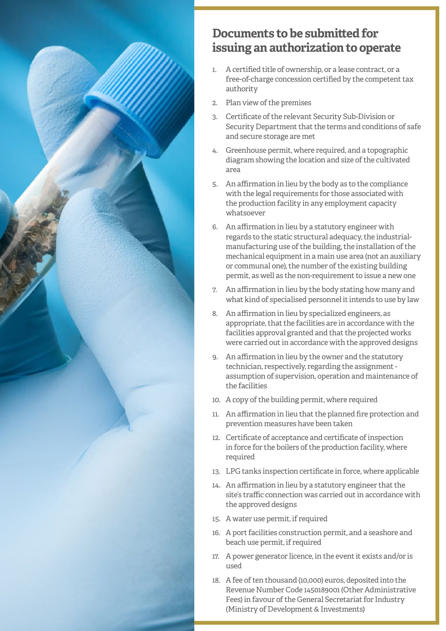

#### **Documents to be submitted for issuing an authorization to operate**

- 1. A certified title of ownership, or a lease contract, or a free-of-charge concession certified by the competent tax authority
- 2. Plan view of the premises
- 3. Certificate of the relevant Security Sub-Division or Security Department that the terms and conditions of safe and secure storage are met
- 4. Greenhouse permit, where required, and a topographic diagram showing the location and size of the cultivated area
- 5. An affirmation in lieu by the body as to the compliance with the legal requirements for those associated with the production facility in any employment capacity whatsoever
- 6. An affirmation in lieu by a statutory engineer with regards to the static structural adequacy, the industrialmanufacturing use of the building, the installation of the mechanical equipment in a main use area (not an auxiliary or communal one), the number of the existing building permit, as well as the non-requirement to issue a new one
- 7. An affirmation in lieu by the body stating how many and what kind of specialised personnel it intends to use by law
- 8. An affirmation in lieu by specialized engineers, as appropriate, that the facilities are in accordance with the facilities approval granted and that the projected works were carried out in accordance with the approved designs
- 9. An affirmation in lieu by the owner and the statutory technician, respectively, regarding the assignment assumption of supervision, operation and maintenance of the facilities
- 10. A copy of the building permit, where required
- 11. An affirmation in lieu that the planned fire protection and prevention measures have been taken
- 12. Certificate of acceptance and certificate of inspection in force for the boilers of the production facility, where required
- 13. LPG tanks inspection certificate in force, where applicable
- 14. An affirmation in lieu by a statutory engineer that the site's traffic connection was carried out in accordance with the approved designs
- 15. A water use permit, if required
- 16. A port facilities construction permit, and a seashore and beach use permit, if required
- 17. A power generator licence, in the event it exists and/or is used
- 18. A fee of ten thousand (10,000) euros, deposited into the Revenue Number Code 1450189001 (Other Administrative Fees) in favour of the General Secretariat for Industry (Ministry of Development & Investments)